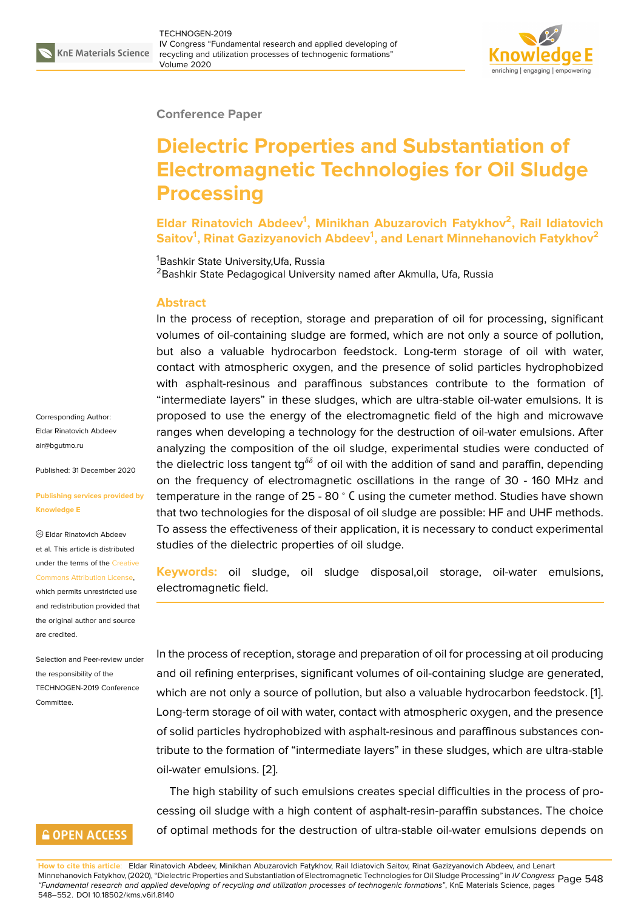

### **Conference Paper**

# **Dielectric Properties and Substantiation of Electromagnetic Technologies for Oil Sludge Processing**

**Eldar Rinatovich Abdeev<sup>1</sup> , Minikhan Abuzarovich Fatykhov<sup>2</sup> , Rail Idiatovich Saitov<sup>1</sup> , Rinat Gazizyanovich Abdeev<sup>1</sup> , and Lenart Minnehanovich Fatykhov<sup>2</sup>**

<sup>1</sup>Bashkir State University, Ufa, Russia

<sup>2</sup> Bashkir State Pedagogical University named after Akmulla, Ufa, Russia

### **Abstract**

In the process of reception, storage and preparation of oil for processing, significant volumes of oil-containing sludge are formed, which are not only a source of pollution, but also a valuable hydrocarbon feedstock. Long-term storage of oil with water, contact with atmospheric oxygen, and the presence of solid particles hydrophobized with asphalt-resinous and paraffinous substances contribute to the formation of "intermediate layers" in these sludges, which are ultra-stable oil-water emulsions. It is proposed to use the energy of the electromagnetic field of the high and microwave ranges when developing a technology for the destruction of oil-water emulsions. After analyzing the composition of the oil sludge, experimental studies were conducted of the dielectric loss tangent tg<sup> $\delta\delta$ </sup> of oil with the addition of sand and paraffin, depending on the frequency of electromagnetic oscillations in the range of 30 - 160 MHz and temperature in the range of 25 - 80 <sup>∘</sup> С using the cumeter method. Studies have shown that two technologies for the disposal of oil sludge are possible: HF and UHF methods. To assess the effectiveness of their application, it is necessary to conduct experimental studies of the dielectric properties of oil sludge.

**Keywords:** oil sludge, oil sludge disposal,oil storage, oil-water emulsions, electromagnetic field.

In the process of reception, storage and preparation of oil for processing at oil producing and oil refining enterprises, significant volumes of oil-containing sludge are generated, which are not only a source of pollution, but also a valuable hydrocarbon feedstock. [1]. Long-term storage of oil with water, contact with atmospheric oxygen, and the presence of solid particles hydrophobized with asphalt-resinous and paraffinous substances contribute to the formation of "intermediate layers" in these sludges, which are ultra-sta[ble](#page-4-0) oil-water emulsions. [2].

The high stability of such emulsions creates special difficulties in the process of processing oil sludge with a high content of asphalt-resin-paraffin substances. The choice of optimal methods f[or](#page-4-1) the destruction of ultra-stable oil-water emulsions depends on

**How to cite this article**: Eldar Rinatovich Abdeev, Minikhan Abuzarovich Fatykhov, Rail Idiatovich Saitov, Rinat Gazizyanovich Abdeev, and Lenart Minnehanovich Fatykhov, (2020), "Dielectric Properties and Substantiation of Electromagnetic Technologies for Oil Sludge Processing" in *IV Congress* Page 548 *"Fundamental research and applied developing of recycling and utilization processes of technogenic formations"*, KnE Materials Science, pages 548–552. DOI 10.18502/kms.v6i1.8140

Corresponding Author: Eldar Rinatovich Abdeev air@bgutmo.ru

Published: 31 December 2020

#### **[Publishing ser](mailto:air@bgutmo.ru)vices provided by Knowledge E**

Eldar Rinatovich Abdeev et al. This article is distributed under the terms of the Creative Commons Attribution License,

which permits unrestricted use and redistribution provided that the original author and [source](https://creativecommons.org/licenses/by/4.0/) [are credited.](https://creativecommons.org/licenses/by/4.0/)

Selection and Peer-review under the responsibility of the TECHNOGEN-2019 Conference Committee.

### **GOPEN ACCESS**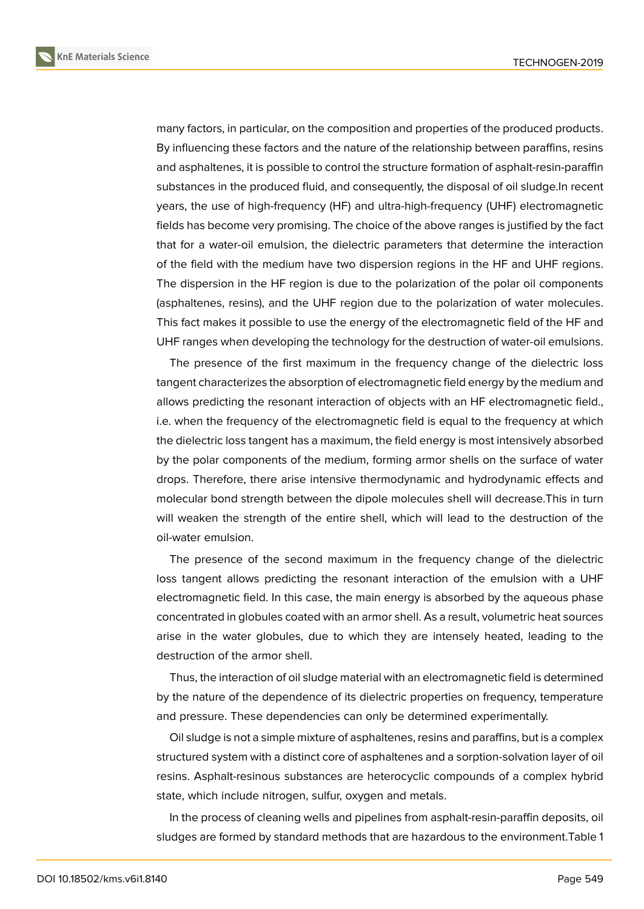**KnE Materials Science**



many factors, in particular, on the composition and properties of the produced products. By influencing these factors and the nature of the relationship between paraffins, resins and asphaltenes, it is possible to control the structure formation of asphalt-resin-paraffin substances in the produced fluid, and consequently, the disposal of oil sludge.In recent years, the use of high-frequency (HF) and ultra-high-frequency (UHF) electromagnetic fields has become very promising. The choice of the above ranges is justified by the fact that for a water-oil emulsion, the dielectric parameters that determine the interaction of the field with the medium have two dispersion regions in the HF and UHF regions. The dispersion in the HF region is due to the polarization of the polar oil components (asphaltenes, resins), and the UHF region due to the polarization of water molecules. This fact makes it possible to use the energy of the electromagnetic field of the HF and UHF ranges when developing the technology for the destruction of water-oil emulsions.

The presence of the first maximum in the frequency change of the dielectric loss tangent characterizes the absorption of electromagnetic field energy by the medium and allows predicting the resonant interaction of objects with an HF electromagnetic field., i.e. when the frequency of the electromagnetic field is equal to the frequency at which the dielectric loss tangent has a maximum, the field energy is most intensively absorbed by the polar components of the medium, forming armor shells on the surface of water drops. Therefore, there arise intensive thermodynamic and hydrodynamic effects and molecular bond strength between the dipole molecules shell will decrease.This in turn will weaken the strength of the entire shell, which will lead to the destruction of the oil-water emulsion.

The presence of the second maximum in the frequency change of the dielectric loss tangent allows predicting the resonant interaction of the emulsion with a UHF electromagnetic field. In this case, the main energy is absorbed by the aqueous phase concentrated in globules coated with an armor shell. As a result, volumetric heat sources arise in the water globules, due to which they are intensely heated, leading to the destruction of the armor shell.

Thus, the interaction of oil sludge material with an electromagnetic field is determined by the nature of the dependence of its dielectric properties on frequency, temperature and pressure. These dependencies can only be determined experimentally.

Oil sludge is not a simple mixture of asphaltenes, resins and paraffins, but is a complex structured system with a distinct core of asphaltenes and a sorption-solvation layer of oil resins. Asphalt-resinous substances are heterocyclic compounds of a complex hybrid state, which include nitrogen, sulfur, oxygen and metals.

In the process of cleaning wells and pipelines from asphalt-resin-paraffin deposits, oil sludges are formed by standard methods that are hazardous to the environment.Table 1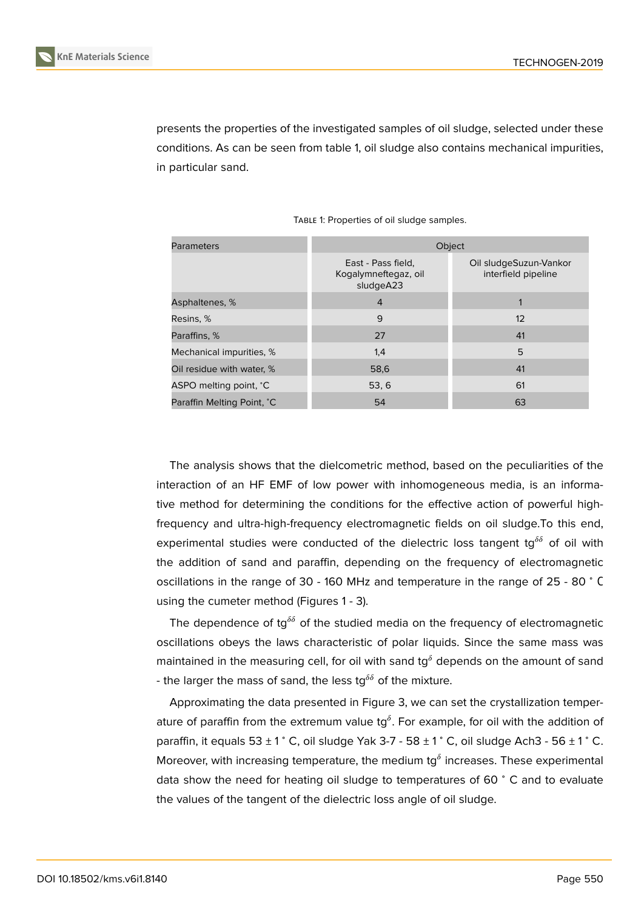presents the properties of the investigated samples of oil sludge, selected under these conditions. As can be seen from table 1, oil sludge also contains mechanical impurities, in particular sand.

| <b>Parameters</b>          | Object                                                  |                                               |
|----------------------------|---------------------------------------------------------|-----------------------------------------------|
|                            | East - Pass field,<br>Kogalymneftegaz, oil<br>sludgeA23 | Oil sludgeSuzun-Vankor<br>interfield pipeline |
| Asphaltenes, %             | $\overline{4}$                                          |                                               |
| Resins, %                  | 9                                                       | 12                                            |
| Paraffins, %               | 27                                                      | 41                                            |
| Mechanical impurities, %   | 1,4                                                     | 5                                             |
| Oil residue with water, %  | 58,6                                                    | 41                                            |
| ASPO melting point, °C     | 53, 6                                                   | 61                                            |
| Paraffin Melting Point, °C | 54                                                      | 63                                            |

TABLE 1: Properties of oil sludge samples.

The analysis shows that the dielcometric method, based on the peculiarities of the interaction of an HF EMF of low power with inhomogeneous media, is an informative method for determining the conditions for the effective action of powerful highfrequency and ultra-high-frequency electromagnetic fields on oil sludge.To this end, experimental studies were conducted of the dielectric loss tangent tg<sup> $\delta\delta$ </sup> of oil with the addition of sand and paraffin, depending on the frequency of electromagnetic oscillations in the range of 30 - 160 MHz and temperature in the range of 25 - 80 <sup>∘</sup> С using the cumeter method (Figures 1 - 3).

The dependence of tg<sup> $\delta\delta$ </sup> of the studied media on the frequency of electromagnetic oscillations obeys the laws characteristic of polar liquids. Since the same mass was maintained in the measuring cell, for oil with sand tg<sup> $\delta$ </sup> depends on the amount of sand - the larger the mass of sand, the less tg<sup> $\delta\delta$ </sup> of the mixture.

Approximating the data presented in Figure 3, we can set the crystallization temperature of paraffin from the extremum value tg $^\delta.$  For example, for oil with the addition of paraffin, it equals  $53 \pm 1^\circ$  C, oil sludge Yak 3-7 -  $58 \pm 1^\circ$  C, oil sludge Ach3 -  $56 \pm 1^\circ$  C. Moreover, with increasing temperature, the me[di](#page-4-2)um tg $^\delta$  increases. These experimental data show the need for heating oil sludge to temperatures of 60 <sup>∘</sup> C and to evaluate the values of the tangent of the dielectric loss angle of oil sludge.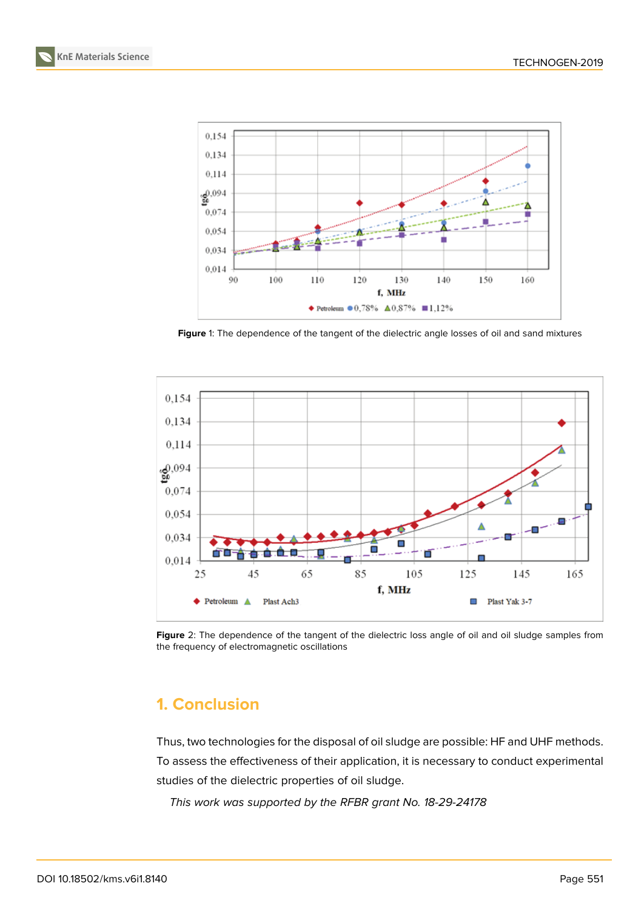



**Figure** 1: The dependence of the tangent of the dielectric angle losses of oil and sand mixtures



Figure 2: The dependence of the tangent of the dielectric loss angle of oil and oil sludge samples from the frequency of electromagnetic oscillations

# **1. Conclusion**

Thus, two technologies for the disposal of oil sludge are possible: HF and UHF methods. To assess the effectiveness of their application, it is necessary to conduct experimental studies of the dielectric properties of oil sludge.

*This work was supported by the RFBR grant No. 18-29-24178*